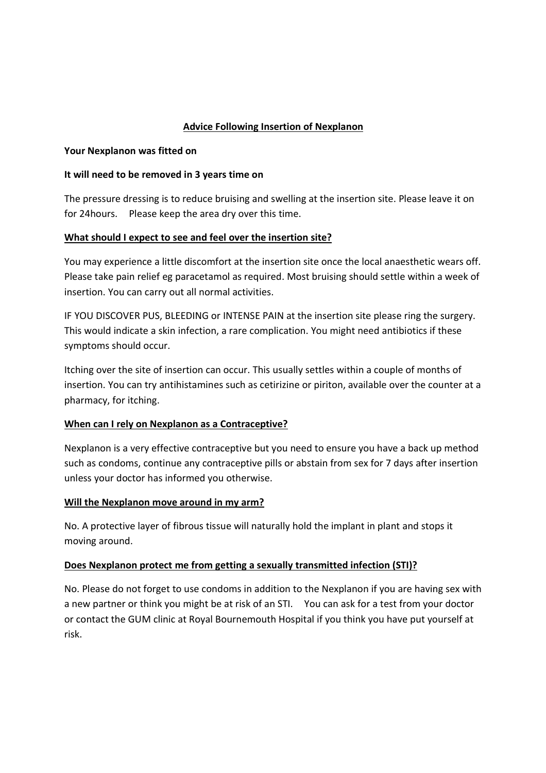## Advice Following Insertion of Nexplanon

## Your Nexplanon was fitted on

## It will need to be removed in 3 years time on

The pressure dressing is to reduce bruising and swelling at the insertion site. Please leave it on for 24hours. Please keep the area dry over this time.

## What should I expect to see and feel over the insertion site?

You may experience a little discomfort at the insertion site once the local anaesthetic wears off. Please take pain relief eg paracetamol as required. Most bruising should settle within a week of insertion. You can carry out all normal activities.

IF YOU DISCOVER PUS, BLEEDING or INTENSE PAIN at the insertion site please ring the surgery. This would indicate a skin infection, a rare complication. You might need antibiotics if these symptoms should occur.

Itching over the site of insertion can occur. This usually settles within a couple of months of insertion. You can try antihistamines such as cetirizine or piriton, available over the counter at a pharmacy, for itching.

## When can I rely on Nexplanon as a Contraceptive?

Nexplanon is a very effective contraceptive but you need to ensure you have a back up method such as condoms, continue any contraceptive pills or abstain from sex for 7 days after insertion unless your doctor has informed you otherwise.

## Will the Nexplanon move around in my arm?

No. A protective layer of fibrous tissue will naturally hold the implant in plant and stops it moving around.

## Does Nexplanon protect me from getting a sexually transmitted infection (STI)?

No. Please do not forget to use condoms in addition to the Nexplanon if you are having sex with a new partner or think you might be at risk of an STI. You can ask for a test from your doctor or contact the GUM clinic at Royal Bournemouth Hospital if you think you have put yourself at risk.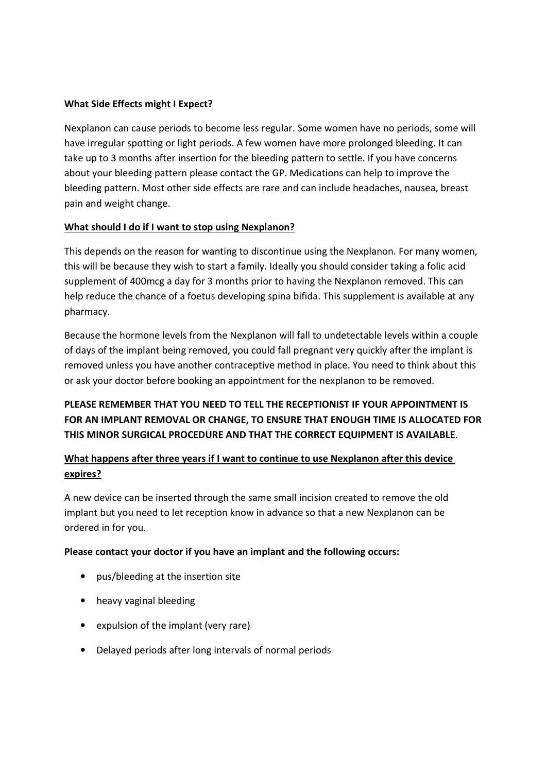## What Side Effects might I Expect?

Nexplanon can cause periods to become less regular. Some women have no periods, some will have irregular spotting or light periods. A few women have more prolonged bleeding. It can take up to 3 months after insertion for the bleeding pattern to settle. If you have concerns about your bleeding pattern please contact the GP. Medications can help to improve the bleeding pattern. Most other side effects are rare and can include headaches, nausea, breast pain and weight change.

## What should I do if I want to stop using Nexplanon?

This depends on the reason for wanting to discontinue using the Nexplanon. For many women, this will be because they wish to start a family. Ideally you should consider taking a folic acid supplement of 400mcg a day for 3 months prior to having the Nexplanon removed. This can help reduce the chance of a foetus developing spina bifida. This supplement is available at any pharmacy.

Because the hormone levels from the Nexplanon will fall to undetectable levels within a couple of days of the implant being removed, you could fall pregnant very quickly after the implant is removed unless you have another contraceptive method in place. You need to think about this or ask your doctor before booking an appointment for the nexplanon to be removed.

# PLEASE REMEMBER THAT YOU NEED TO TELL THE RECEPTIONIST IF YOUR APPOINTMENT IS FOR AN IMPLANT REMOVAL OR CHANGE, TO ENSURE THAT ENOUGH TIME IS ALLOCATED FOR THIS MINOR SURGICAL PROCEDURE AND THAT THE CORRECT EQUIPMENT IS AVAILABLE.

## What happens after three years if I want to continue to use Nexplanon after this device expires?

A new device can be inserted through the same small incision created to remove the old implant but you need to let reception know in advance so that a new Nexplanon can be ordered in for you.

## Please contact your doctor if you have an implant and the following occurs:

- pus/bleeding at the insertion site
- heavy vaginal bleeding
- expulsion of the implant (very rare)
- Delayed periods after long intervals of normal periods